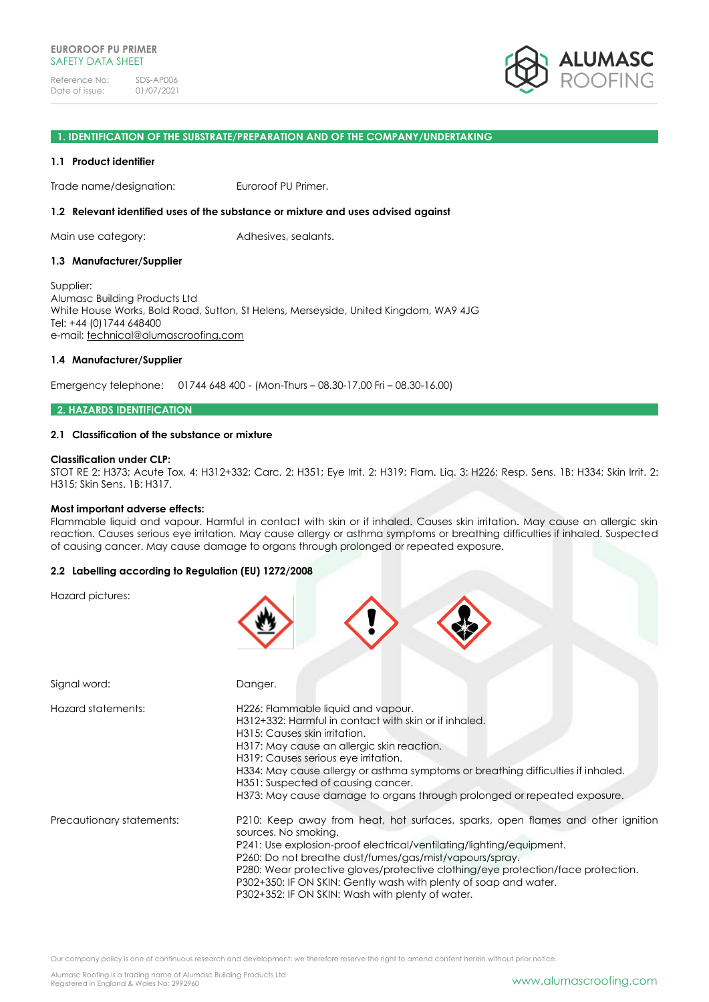

#### **1. IDENTIFICATION OF THE SUBSTRATE/PREPARATION AND OF THE COMPANY/UNDERTAKING**

#### **1.1 Product identifier**

Trade name/designation: Euroroof PU Primer.

#### **1.2 Relevant identified uses of the substance or mixture and uses advised against**

Main use category: Adhesives, sealants.

### **1.3 Manufacturer/Supplier**

Supplier: Alumasc Building Products Ltd White House Works, Bold Road, Sutton, St Helens, Merseyside, United Kingdom, WA9 4JG Tel: +44 (0)1744 648400 e-mail: [technical@alumascroofing.com](mailto:technical@alumascroofing.com)

### **1.4 Manufacturer/Supplier**

Emergency telephone: 01744 648 400 - (Mon-Thurs – 08.30-17.00 Fri – 08.30-16.00)

#### **2. HAZARDS IDENTIFICATION**

### **2.1 Classification of the substance or mixture**

#### **Classification under CLP:**

STOT RE 2: H373; Acute Tox. 4: H312+332; Carc. 2: H351; Eye Irrit. 2: H319; Flam. Liq. 3: H226; Resp. Sens. 1B: H334; Skin Irrit. 2: H315; Skin Sens. 1B: H317.

#### **Most important adverse effects:**

Flammable liquid and vapour. Harmful in contact with skin or if inhaled. Causes skin irritation. May cause an allergic skin reaction. Causes serious eye irritation. May cause allergy or asthma symptoms or breathing difficulties if inhaled. Suspected of causing cancer. May cause damage to organs through prolonged or repeated exposure.

### **2.2 Labelling according to Regulation (EU) 1272/2008**

Hazard pictures:

| Signal word:              | Danger.                                                                                                                                                                                                                                                                                                                                                                                                                                                |
|---------------------------|--------------------------------------------------------------------------------------------------------------------------------------------------------------------------------------------------------------------------------------------------------------------------------------------------------------------------------------------------------------------------------------------------------------------------------------------------------|
| Hazard statements:        | H226: Flammable liquid and vapour.<br>H312+332: Harmful in contact with skin or if inhaled.<br>H315: Causes skin irritation.<br>H317: May cause an allergic skin reaction.<br>H319: Causes serious eye irritation.<br>H334: May cause allergy or asthma symptoms or breathing difficulties if inhaled.<br>H351: Suspected of causing cancer.<br>H373: May cause damage to organs through prolonged or repeated exposure.                               |
| Precautionary statements: | P210: Keep away from heat, hot surfaces, sparks, open flames and other ignition<br>sources. No smoking.<br>P241: Use explosion-proof electrical/ventilating/lighting/equipment.<br>P260: Do not breathe dust/fumes/gas/mist/vapours/spray.<br>P280: Wear protective gloves/protective clothing/eye protection/face protection.<br>P302+350: IF ON SKIN: Gently wash with plenty of soap and water.<br>P302+352: IF ON SKIN: Wash with plenty of water. |

Our company policy is one of continuous research and development; we therefore reserve the right to amend content herein without prior notice.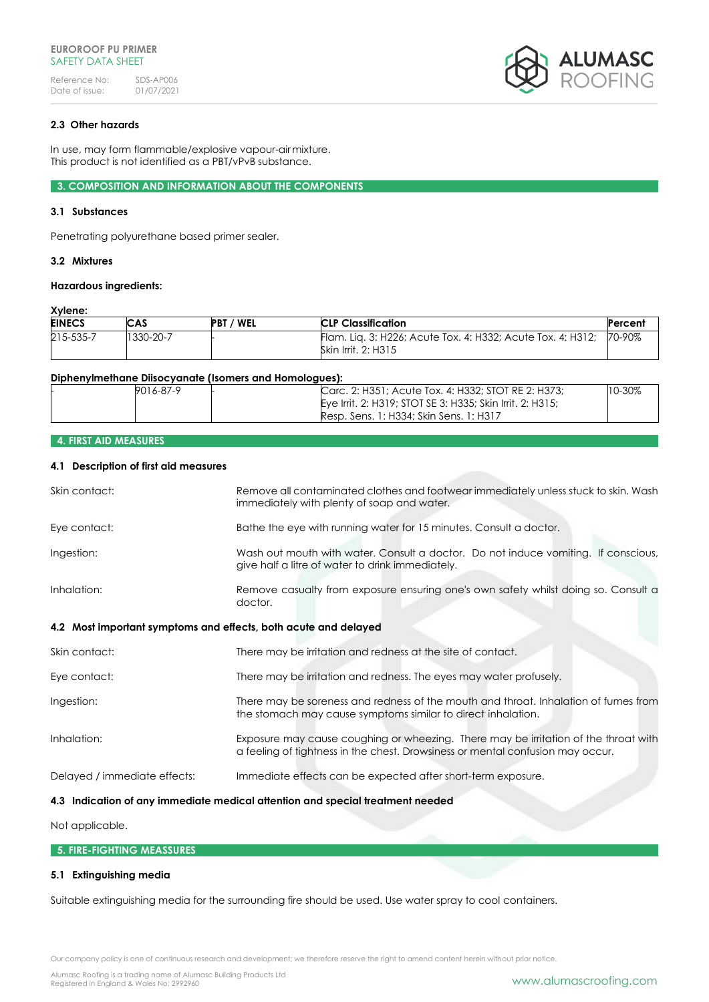

# **2.3 Other hazards**

In use, may form flammable/explosive vapour-airmixture. This product is not identified as a PBT/vPvB substance.

**3. COMPOSITION AND INFORMATION ABOUT THE COMPONENTS**

#### **3.1 Substances**

Penetrating polyurethane based primer sealer.

### **3.2 Mixtures**

### **Hazardous ingredients:**

### **Xylene:**

| <b>EINECS</b> | CAS       | / WEL<br><b>PBT</b> | <b>CLP Classification</b>                                                          | Percent |
|---------------|-----------|---------------------|------------------------------------------------------------------------------------|---------|
| 215-535-7     | 1330-20-7 |                     | Flam. Lig. 3: H226; Acute Tox. 4: H332; Acute Tox. 4: H312;<br>Skin Irrit. 2: H315 | 70-90%  |

#### **Diphenylmethane Diisocyanate (Isomers and Homologues):**

| 9016-87-9 | Carc, 2: H351; Acute Tox, 4: H332; STOT RE 2: H373;       | $10 - 30\%$ |
|-----------|-----------------------------------------------------------|-------------|
|           | Eye Irrit, 2: H319; STOT SE 3: H335; Skin Irrit, 2: H315; |             |
|           | Resp. Sens. 1: H334: Skin Sens. 1: H317                   |             |

# **4. FIRST AID MEASURES**

# **4.1 Description of first aid measures**

| Skin contact:                                                   | Remove all contaminated clothes and footwear immediately unless stuck to skin. Wash<br>immediately with plenty of soap and water.                                     |
|-----------------------------------------------------------------|-----------------------------------------------------------------------------------------------------------------------------------------------------------------------|
| Eye contact:                                                    | Bathe the eye with running water for 15 minutes. Consult a doctor.                                                                                                    |
| Ingestion:                                                      | Wash out mouth with water. Consult a doctor. Do not induce vomiting. If conscious,<br>give half a litre of water to drink immediately.                                |
| Inhalation:                                                     | Remove casualty from exposure ensuring one's own safety whilst doing so. Consult a<br>doctor.                                                                         |
| 4.2 Most important symptoms and effects, both acute and delayed |                                                                                                                                                                       |
| Skin contact:                                                   | There may be irritation and redness at the site of contact.                                                                                                           |
| Eye contact:                                                    | There may be irritation and redness. The eyes may water profusely.                                                                                                    |
| Ingestion:                                                      | There may be soreness and redness of the mouth and throat. Inhalation of fumes from<br>the stomach may cause symptoms similar to direct inhalation.                   |
| Inhalation:                                                     | Exposure may cause coughing or wheezing. There may be irritation of the throat with<br>a feeling of tightness in the chest. Drowsiness or mental confusion may occur. |
| Delayed / immediate effects:                                    | Immediate effects can be expected after short-term exposure.                                                                                                          |
|                                                                 | 4.3 Indication of any immediate medical attention and special treatment needed                                                                                        |

# Not applicable.

### **5. FIRE-FIGHTING MEASSURES**

### **5.1 Extinguishing media**

Suitable extinguishing media for the surrounding fire should be used. Use water spray to cool containers.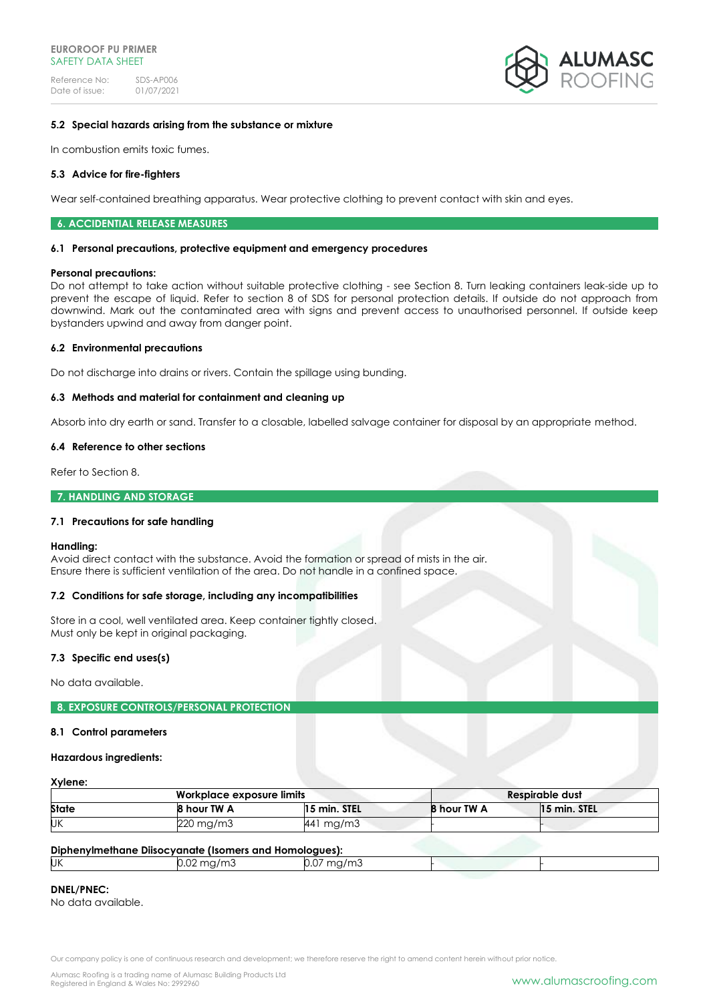

### **5.2 Special hazards arising from the substance or mixture**

In combustion emits toxic fumes.

### **5.3 Advice for fire-fighters**

Wear self-contained breathing apparatus. Wear protective clothing to prevent contact with skin and eyes.

#### **6. ACCIDENTIAL RELEASE MEASURES**

#### **6.1 Personal precautions, protective equipment and emergency procedures**

#### **Personal precautions:**

Do not attempt to take action without suitable protective clothing - see Section 8. Turn leaking containers leak-side up to prevent the escape of liquid. Refer to section 8 of SDS for personal protection details. If outside do not approach from downwind. Mark out the contaminated area with signs and prevent access to unauthorised personnel. If outside keep bystanders upwind and away from danger point.

### **6.2 Environmental precautions**

Do not discharge into drains or rivers. Contain the spillage using bunding.

### **6.3 Methods and material for containment and cleaning up**

Absorb into dry earth or sand. Transfer to a closable, labelled salvage container for disposal by an appropriate method.

#### **6.4 Reference to other sections**

Refer to Section 8.

### **7. HANDLING AND STORAGE**

### **7.1 Precautions for safe handling**

#### **Handling:**

Avoid direct contact with the substance. Avoid the formation or spread of mists in the air. Ensure there is sufficient ventilation of the area. Do not handle in a confined space.

#### **7.2 Conditions for safe storage, including any incompatibilities**

Store in a cool, well ventilated area. Keep container tightly closed. Must only be kept in original packaging.

#### **7.3 Specific end uses(s)**

No data available.

#### **8. EXPOSURE CONTROLS/PERSONAL PROTECTION**

#### **8.1 Control parameters**

#### **Hazardous ingredients:**

# **Xylene:**

| Workplace exposure limits |             |              |             | Respirable dust |
|---------------------------|-------------|--------------|-------------|-----------------|
| <b>State</b>              | 8 hour TW A | 15 min. STEL | 8 hour TW A | 15 min. STEL    |
| UΚ                        | 220 mg/m3   | 441 mg/m3    |             |                 |

#### **Diphenylmethane Diisocyanate (Isomers and Homologues):**

|     | <u>upilentine bilocyandic nomicis and nomogees).</u> |                         |  |  |
|-----|------------------------------------------------------|-------------------------|--|--|
| IJΚ | J.UZ.                                                | ma,<br>∵⊓u/∏lu i<br>J.U |  |  |
|     |                                                      |                         |  |  |

### **DNEL/PNEC:**

No data available.

Our company policy is one of continuous research and development; we therefore reserve the right to amend content herein without prior notice.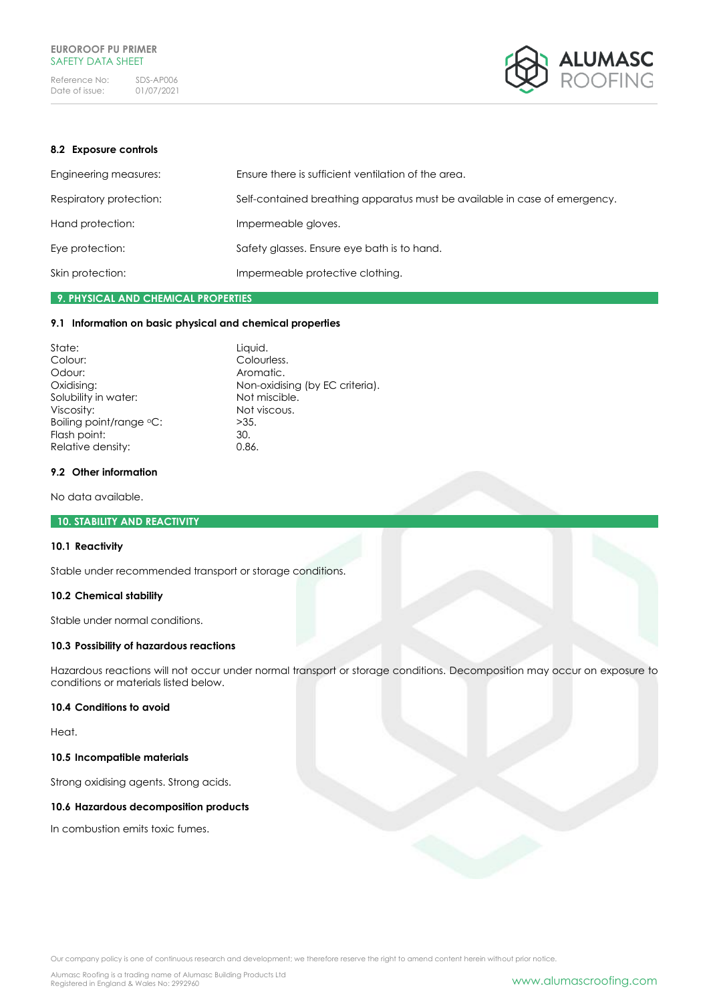

### **8.2 Exposure controls**

| Engineering measures:   | Ensure there is sufficient ventilation of the area.                        |
|-------------------------|----------------------------------------------------------------------------|
| Respiratory protection: | Self-contained breathing apparatus must be available in case of emergency. |
| Hand protection:        | Impermeable gloves.                                                        |
| Eye protection:         | Safety glasses. Ensure eye bath is to hand.                                |
| Skin protection:        | Impermeable protective clothing.                                           |

# **9. PHYSICAL AND CHEMICAL PROPERTIES**

### **9.1 Information on basic physical and chemical properties**

| State:                  | Liquid.                         |
|-------------------------|---------------------------------|
| Colour:                 | Colourless.                     |
| Odour:                  | Aromatic.                       |
| Oxidising:              | Non-oxidising (by EC criteria). |
| Solubility in water:    | Not miscible.                   |
| Viscosity:              | Not viscous.                    |
| Boiling point/range °C: | >35.                            |
| Flash point:            | 30.                             |
| Relative density:       | 0.86.                           |

### **9.2 Other information**

No data available.

# **10. STABILITY AND REACTIVITY**

# **10.1 Reactivity**

Stable under recommended transport or storage conditions.

# **10.2 Chemical stability**

Stable under normal conditions.

# **10.3 Possibility of hazardous reactions**

Hazardous reactions will not occur under normal transport or storage conditions. Decomposition may occur on exposure to conditions or materials listed below.

### **10.4 Conditions to avoid**

Heat.

### **10.5 Incompatible materials**

Strong oxidising agents. Strong acids.

### **10.6 Hazardous decomposition products**

In combustion emits toxic fumes.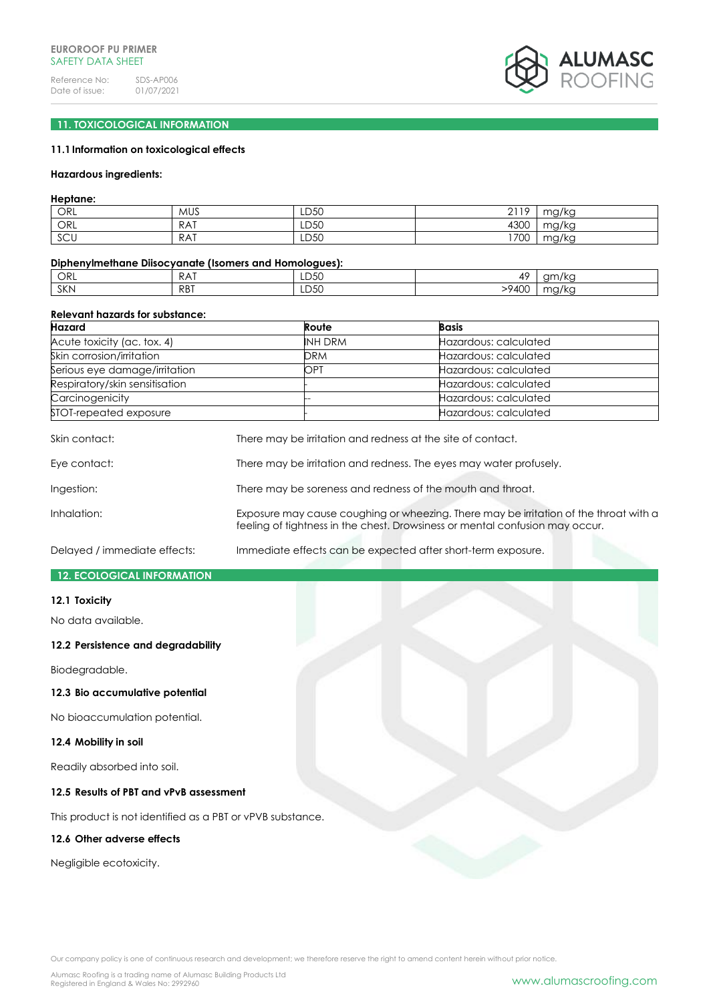

# **11. TOXICOLOGICAL INFORMATION**

# **11.1Information on toxicological effects**

#### **Hazardous ingredients:**

### **Heptane:**

| ORL                  | <b>MUS</b> | LD50 | 2110<br>. .<br><u>_</u> | $maxU\alpha$<br>א ושיו  |
|----------------------|------------|------|-------------------------|-------------------------|
| ORL                  | RAT        | LD50 | 4300                    | $maxU\alpha$<br>197 K.U |
| $\sim$<br><b>SCU</b> | <b>RAT</b> | LD50 | 1700                    | malka<br>налка          |

#### **Diphenylmethane Diisocyanate (Isomers and Homologues):**

| ORL        | RAT        | LD50 | AC                   | am/<br>11/2<br>י א       |
|------------|------------|------|----------------------|--------------------------|
| <b>SKN</b> | <b>RBT</b> | LD50 | $-9 \angle 0$<br>40U | $\sim$ $\sim$<br>. .y/ka |

#### **Relevant hazards for substance:**

| Hazard                         | Route          | <b>Basis</b>          |
|--------------------------------|----------------|-----------------------|
| Acute toxicity (ac. tox. 4)    | <b>INH DRM</b> | Hazardous: calculated |
| Skin corrosion/irritation      | DRM            | Hazardous: calculated |
| Serious eye damage/irritation  | OPT            | Hazardous: calculated |
| Respiratory/skin sensitisation |                | Hazardous: calculated |
| Carcinogenicity                |                | Hazardous: calculated |
| STOT-repeated exposure         |                | Hazardous: calculated |

| Skin contact: | There may be irritation and redness at the site of contact.                                                                                                           |
|---------------|-----------------------------------------------------------------------------------------------------------------------------------------------------------------------|
| Eye contact:  | There may be irritation and redness. The eyes may water profusely.                                                                                                    |
| Ingestion:    | There may be soreness and redness of the mouth and throat.                                                                                                            |
| Inhalation:   | Exposure may cause coughing or wheezing. There may be irritation of the throat with a<br>feeling of tightness in the chest. Drowsiness or mental confusion may occur. |

Delayed / immediate effects: Immediate effects can be expected after short-term exposure.

### **12. ECOLOGICAL INFORMATION**

#### **12.1 Toxicity**

No data available.

### **12.2 Persistence and degradability**

Biodegradable.

# **12.3 Bio accumulative potential**

No bioaccumulation potential.

### **12.4 Mobility in soil**

Readily absorbed into soil.

# **12.5 Results of PBT and vPvB assessment**

This product is not identified as a PBT or vPVB substance.

# **12.6 Other adverse effects**

Negligible ecotoxicity.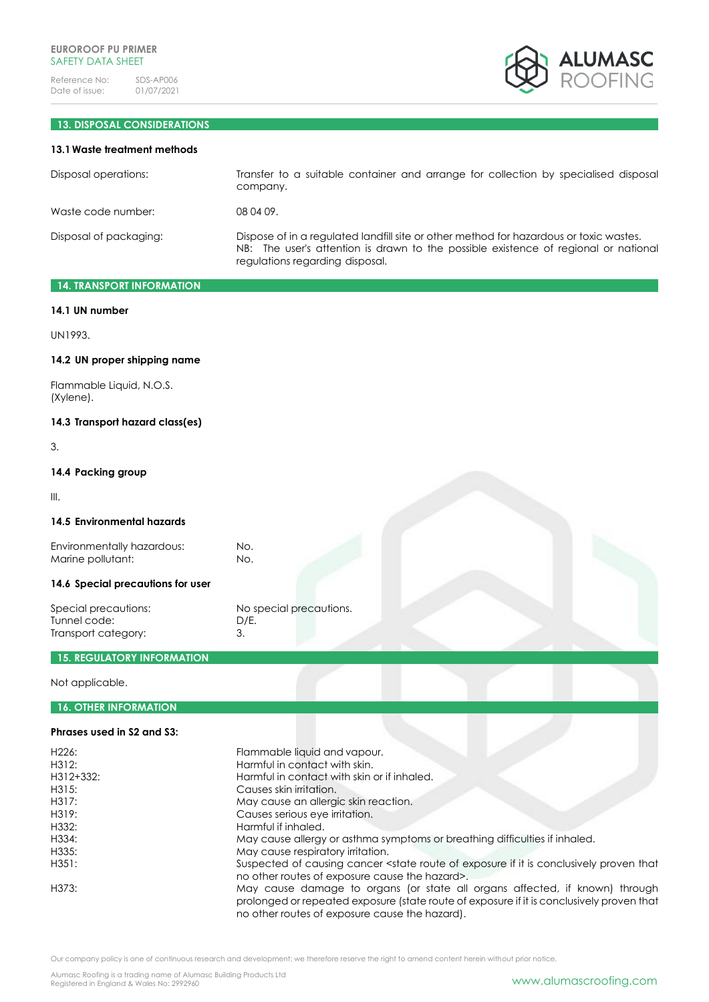

# **13. DISPOSAL CONSIDERATIONS**

### **13.1Waste treatment methods**

| Disposal operations:   | Transfer to a suitable container and arrange for collection by specialised disposal<br>company.                                                                                                                  |
|------------------------|------------------------------------------------------------------------------------------------------------------------------------------------------------------------------------------------------------------|
| Waste code number:     | 08 04 09.                                                                                                                                                                                                        |
| Disposal of packaging: | Dispose of in a regulated landfill site or other method for hazardous or toxic wastes.<br>NB: The user's attention is drawn to the possible existence of regional or national<br>regulations regarding disposal. |

# **14. TRANSPORT INFORMATION**

### **14.1 UN number**

UN1993.

### **14.2 UN proper shipping name**

Flammable Liquid, N.O.S. (Xylene).

# **14.3 Transport hazard class(es)**

3.

# **14.4 Packing group**

III.

### **14.5 Environmental hazards**

Environmentally hazardous: No.<br>
Marine pollutant: No. Marine pollutant:

# **14.6 Special precautions for user**

Special precautions: No special precautions. Tunnel code: D/E. Transport category: 3.

# **15. REGULATORY INFORMATION**

Not applicable.

# **16. OTHER INFORMATION**

# **Phrases used in S2 and S3:**

| H <sub>226</sub> : | Flammable liquid and vapour.                                                                                                                                                                                               |
|--------------------|----------------------------------------------------------------------------------------------------------------------------------------------------------------------------------------------------------------------------|
| H312:              | Harmful in contact with skin.                                                                                                                                                                                              |
| H312+332:          | Harmful in contact with skin or if inhaled.                                                                                                                                                                                |
| H315:              | Causes skin irritation.                                                                                                                                                                                                    |
| H317:              | May cause an allergic skin reaction.                                                                                                                                                                                       |
| H319:              | Causes serious eye irritation.                                                                                                                                                                                             |
| H332:              | Harmful if inhaled.                                                                                                                                                                                                        |
| H334:              | May cause allergy or asthma symptoms or breathing difficulties if inhaled.                                                                                                                                                 |
| H335:              | May cause respiratory irritation.                                                                                                                                                                                          |
| H351:              | Suspected of causing cancer <state conclusively="" exposure="" if="" is="" it="" of="" proven="" route="" that<br="">no other routes of exposure cause the hazard&gt;.</state>                                             |
| H373:              | May cause damage to organs (or state all organs affected, if known) through<br>prolonged or repeated exposure (state route of exposure if it is conclusively proven that<br>no other routes of exposure cause the hazard). |

Our company policy is one of continuous research and development; we therefore reserve the right to amend content herein without prior notice.

Alumasc Roofing is a trading name of Alumasc Building Products Ltd